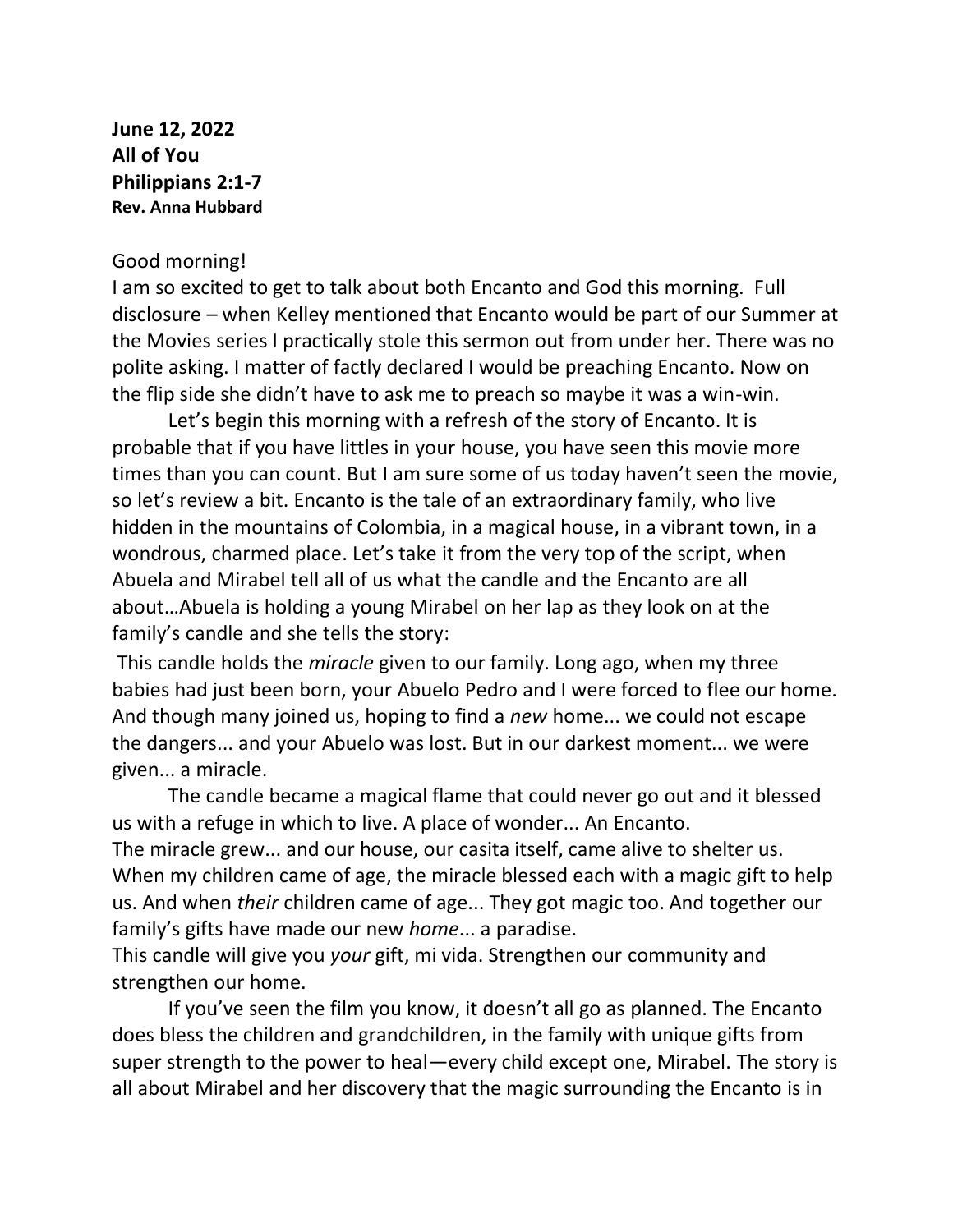**June 12, 2022 All of You Philippians 2:1-7 Rev. Anna Hubbard**

## Good morning!

I am so excited to get to talk about both Encanto and God this morning. Full disclosure – when Kelley mentioned that Encanto would be part of our Summer at the Movies series I practically stole this sermon out from under her. There was no polite asking. I matter of factly declared I would be preaching Encanto. Now on the flip side she didn't have to ask me to preach so maybe it was a win-win.

Let's begin this morning with a refresh of the story of Encanto. It is probable that if you have littles in your house, you have seen this movie more times than you can count. But I am sure some of us today haven't seen the movie, so let's review a bit. Encanto is the tale of an extraordinary family, who live hidden in the mountains of Colombia, in a magical house, in a vibrant town, in a wondrous, charmed place. Let's take it from the very top of the script, when Abuela and Mirabel tell all of us what the candle and the Encanto are all about…Abuela is holding a young Mirabel on her lap as they look on at the family's candle and she tells the story:

This candle holds the *miracle* given to our family. Long ago, when my three babies had just been born, your Abuelo Pedro and I were forced to flee our home. And though many joined us, hoping to find a *new* home... we could not escape the dangers... and your Abuelo was lost. But in our darkest moment... we were given... a miracle.

The candle became a magical flame that could never go out and it blessed us with a refuge in which to live. A place of wonder... An Encanto. The miracle grew... and our house, our casita itself, came alive to shelter us. When my children came of age, the miracle blessed each with a magic gift to help us. And when *their* children came of age... They got magic too. And together our family's gifts have made our new *home*... a paradise.

This candle will give you *your* gift, mi vida. Strengthen our community and strengthen our home.

If you've seen the film you know, it doesn't all go as planned. The Encanto does bless the children and grandchildren, in the family with unique gifts from super strength to the power to heal—every child except one, Mirabel. The story is all about Mirabel and her discovery that the magic surrounding the Encanto is in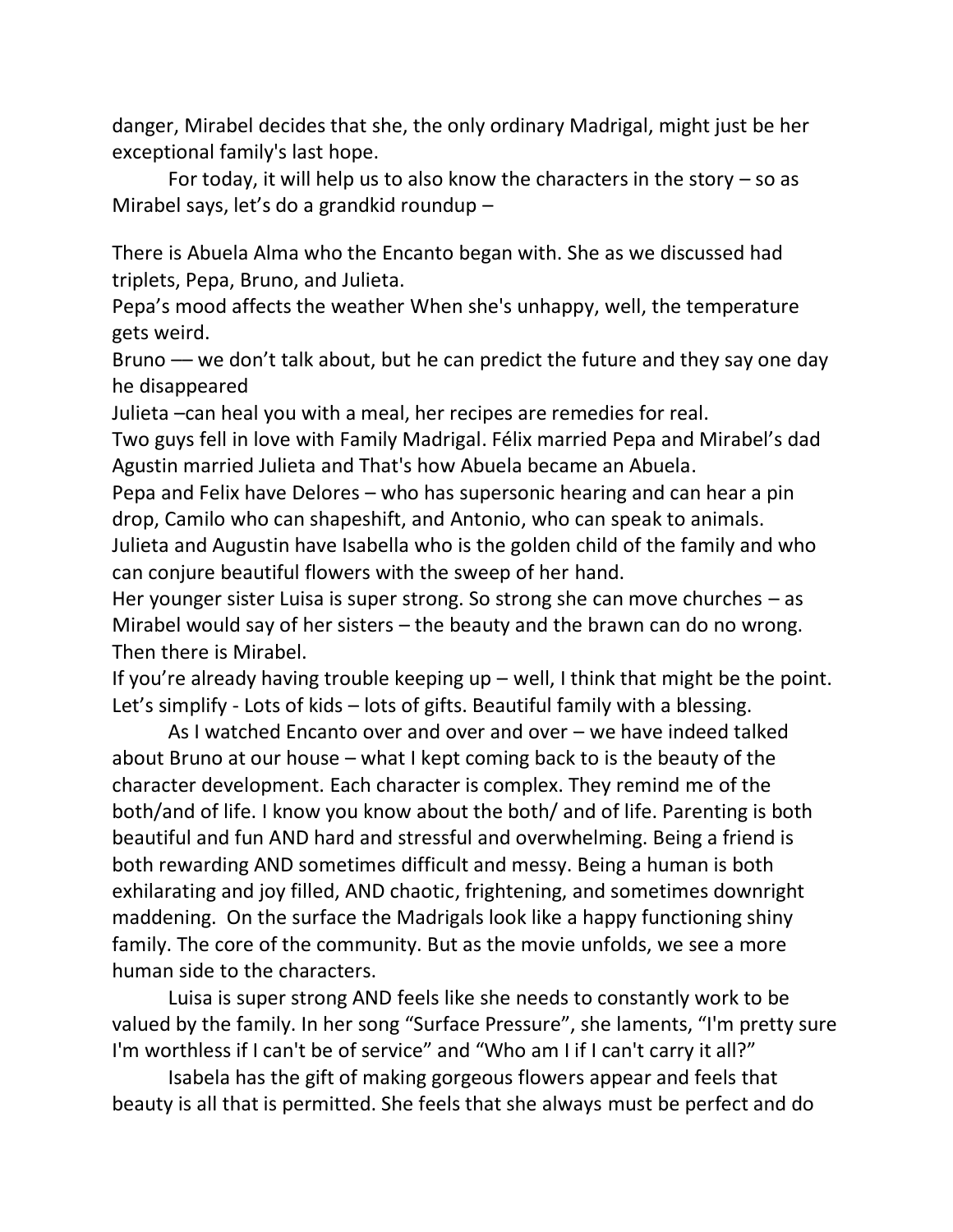danger, Mirabel decides that she, the only ordinary Madrigal, might just be her exceptional family's last hope.

For today, it will help us to also know the characters in the story  $-$  so as Mirabel says, let's do a grandkid roundup –

There is Abuela Alma who the Encanto began with. She as we discussed had triplets, Pepa, Bruno, and Julieta.

Pepa's mood affects the weather When she's unhappy, well, the temperature gets weird.

Bruno –– we don't talk about, but he can predict the future and they say one day he disappeared

Julieta –can heal you with a meal, her recipes are remedies for real.

Two guys fell in love with Family Madrigal. Félix married Pepa and Mirabel's dad Agustin married Julieta and That's how Abuela became an Abuela.

Pepa and Felix have Delores – who has supersonic hearing and can hear a pin drop, Camilo who can shapeshift, and Antonio, who can speak to animals. Julieta and Augustin have Isabella who is the golden child of the family and who can conjure beautiful flowers with the sweep of her hand.

Her younger sister Luisa is super strong. So strong she can move churches – as Mirabel would say of her sisters – the beauty and the brawn can do no wrong. Then there is Mirabel.

If you're already having trouble keeping up – well, I think that might be the point. Let's simplify - Lots of kids – lots of gifts. Beautiful family with a blessing.

As I watched Encanto over and over and over – we have indeed talked about Bruno at our house – what I kept coming back to is the beauty of the character development. Each character is complex. They remind me of the both/and of life. I know you know about the both/ and of life. Parenting is both beautiful and fun AND hard and stressful and overwhelming. Being a friend is both rewarding AND sometimes difficult and messy. Being a human is both exhilarating and joy filled, AND chaotic, frightening, and sometimes downright maddening. On the surface the Madrigals look like a happy functioning shiny family. The core of the community. But as the movie unfolds, we see a more human side to the characters.

Luisa is super strong AND feels like she needs to constantly work to be valued by the family. In her song "Surface Pressure", she laments, "I'm pretty sure I'm worthless if I can't be of service" and "Who am I if I can't carry it all?"

Isabela has the gift of making gorgeous flowers appear and feels that beauty is all that is permitted. She feels that she always must be perfect and do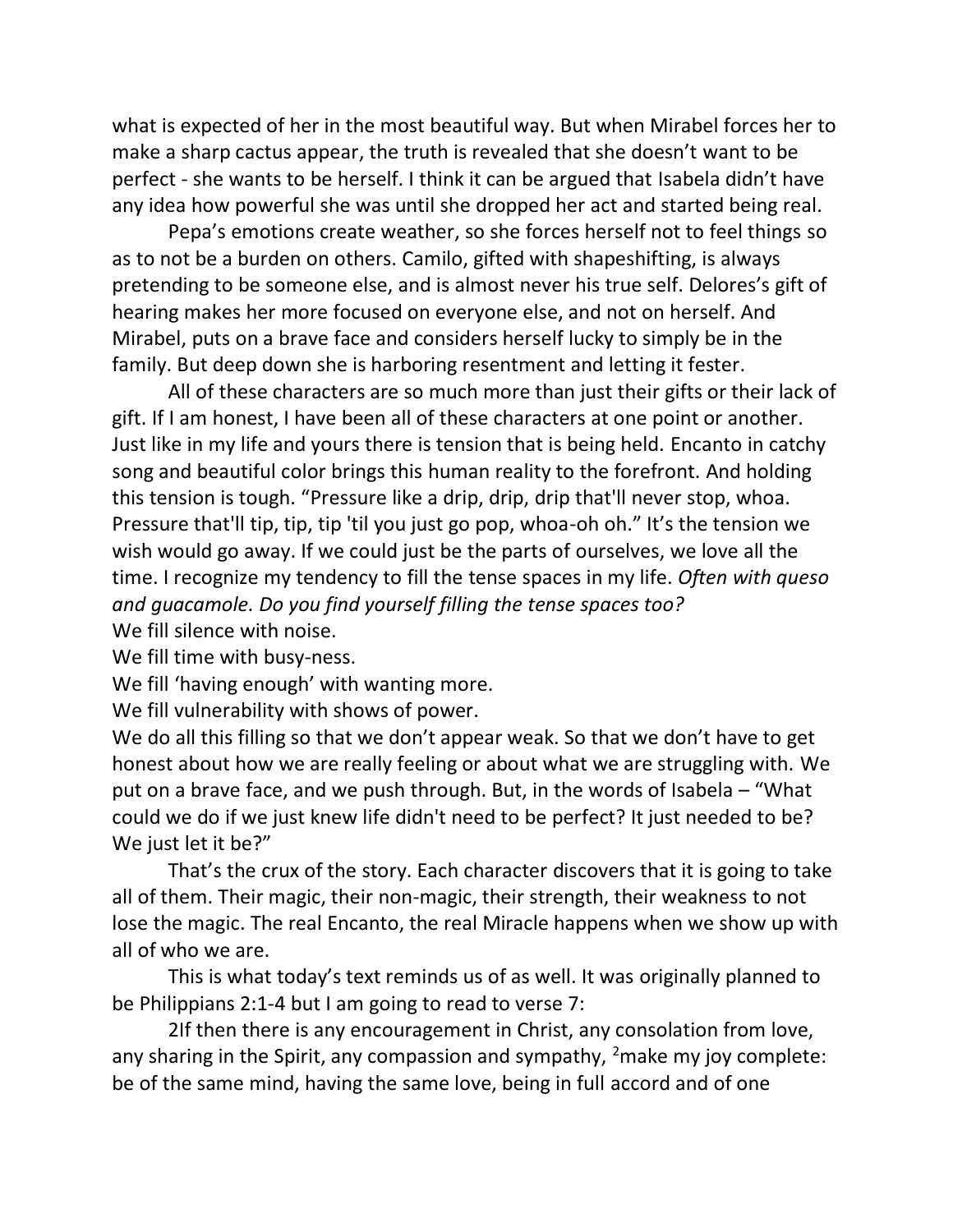what is expected of her in the most beautiful way. But when Mirabel forces her to make a sharp cactus appear, the truth is revealed that she doesn't want to be perfect - she wants to be herself. I think it can be argued that Isabela didn't have any idea how powerful she was until she dropped her act and started being real.

Pepa's emotions create weather, so she forces herself not to feel things so as to not be a burden on others. Camilo, gifted with shapeshifting, is always pretending to be someone else, and is almost never his true self. Delores's gift of hearing makes her more focused on everyone else, and not on herself. And Mirabel, puts on a brave face and considers herself lucky to simply be in the family. But deep down she is harboring resentment and letting it fester.

All of these characters are so much more than just their gifts or their lack of gift. If I am honest, I have been all of these characters at one point or another. Just like in my life and yours there is tension that is being held. Encanto in catchy song and beautiful color brings this human reality to the forefront. And holding this tension is tough. "Pressure like a drip, drip, drip that'll never stop, whoa. Pressure that'll tip, tip, tip 'til you just go pop, whoa-oh oh." It's the tension we wish would go away. If we could just be the parts of ourselves, we love all the time. I recognize my tendency to fill the tense spaces in my life. *Often with queso and guacamole. Do you find yourself filling the tense spaces too?* We fill silence with noise.

We fill time with busy-ness.

We fill 'having enough' with wanting more.

We fill vulnerability with shows of power.

We do all this filling so that we don't appear weak. So that we don't have to get honest about how we are really feeling or about what we are struggling with. We put on a brave face, and we push through. But, in the words of Isabela – "What could we do if we just knew life didn't need to be perfect? It just needed to be? We just let it be?"

That's the crux of the story. Each character discovers that it is going to take all of them. Their magic, their non-magic, their strength, their weakness to not lose the magic. The real Encanto, the real Miracle happens when we show up with all of who we are.

This is what today's text reminds us of as well. It was originally planned to be Philippians 2:1-4 but I am going to read to verse 7:

2If then there is any encouragement in Christ, any consolation from love, any sharing in the Spirit, any compassion and sympathy,  $2$  make my joy complete: be of the same mind, having the same love, being in full accord and of one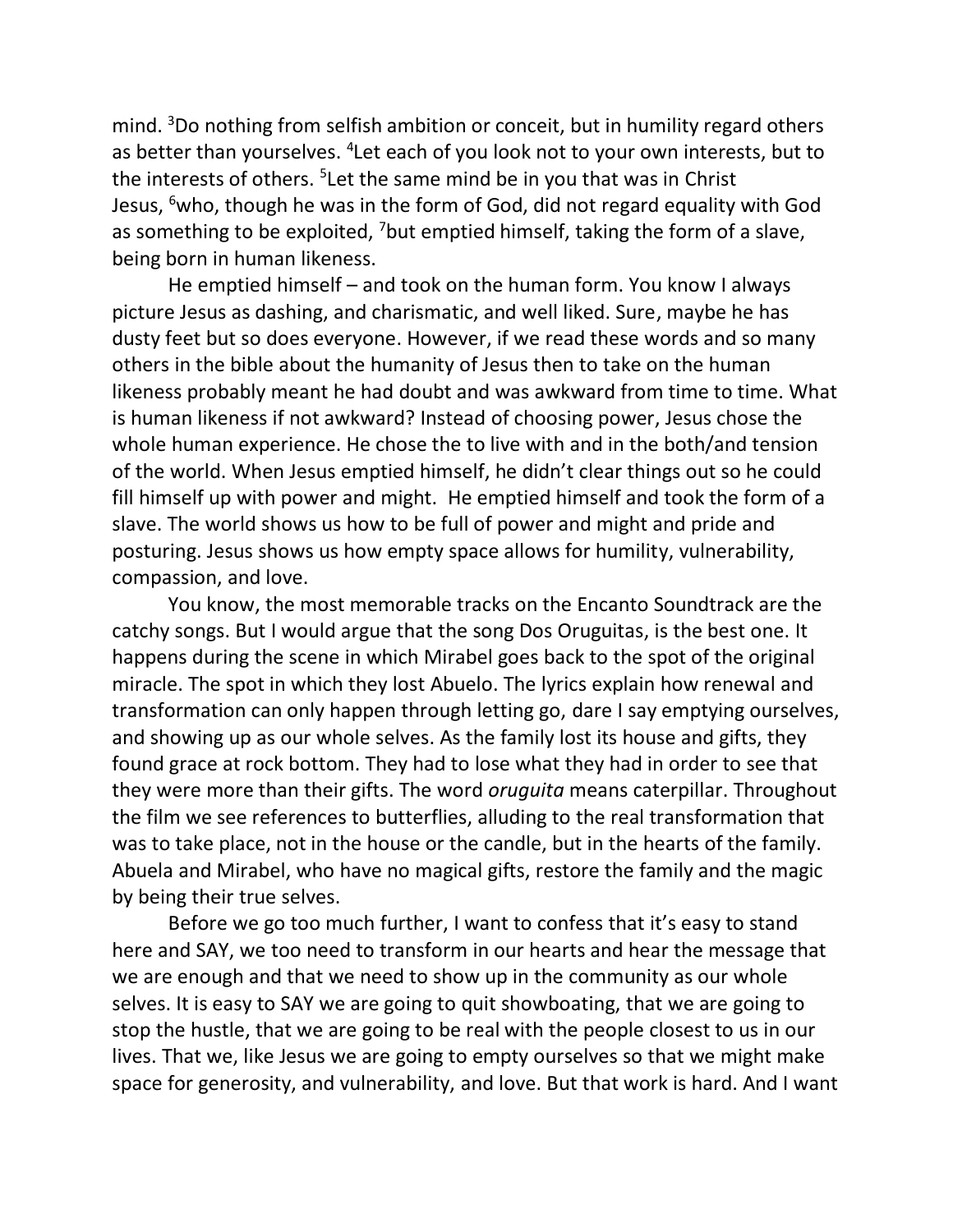mind. <sup>3</sup>Do nothing from selfish ambition or conceit, but in humility regard others as better than yourselves. <sup>4</sup>Let each of you look not to your own interests, but to the interests of others. <sup>5</sup>Let the same mind be in you that was in Christ Jesus, <sup>6</sup>who, though he was in the form of God, did not regard equality with God as something to be exploited, <sup>7</sup>but emptied himself, taking the form of a slave, being born in human likeness.

He emptied himself – and took on the human form. You know I always picture Jesus as dashing, and charismatic, and well liked. Sure, maybe he has dusty feet but so does everyone. However, if we read these words and so many others in the bible about the humanity of Jesus then to take on the human likeness probably meant he had doubt and was awkward from time to time. What is human likeness if not awkward? Instead of choosing power, Jesus chose the whole human experience. He chose the to live with and in the both/and tension of the world. When Jesus emptied himself, he didn't clear things out so he could fill himself up with power and might. He emptied himself and took the form of a slave. The world shows us how to be full of power and might and pride and posturing. Jesus shows us how empty space allows for humility, vulnerability, compassion, and love.

You know, the most memorable tracks on the Encanto Soundtrack are the catchy songs. But I would argue that the song Dos Oruguitas, is the best one. It happens during the scene in which Mirabel goes back to the spot of the original miracle. The spot in which they lost Abuelo. The lyrics explain how renewal and transformation can only happen through letting go, dare I say emptying ourselves, and showing up as our whole selves. As the family lost its house and gifts, they found grace at rock bottom. They had to lose what they had in order to see that they were more than their gifts. The word *oruguita* means caterpillar. Throughout the film we see references to butterflies, alluding to the real transformation that was to take place, not in the house or the candle, but in the hearts of the family. Abuela and Mirabel, who have no magical gifts, restore the family and the magic by being their true selves.

Before we go too much further, I want to confess that it's easy to stand here and SAY, we too need to transform in our hearts and hear the message that we are enough and that we need to show up in the community as our whole selves. It is easy to SAY we are going to quit showboating, that we are going to stop the hustle, that we are going to be real with the people closest to us in our lives. That we, like Jesus we are going to empty ourselves so that we might make space for generosity, and vulnerability, and love. But that work is hard. And I want